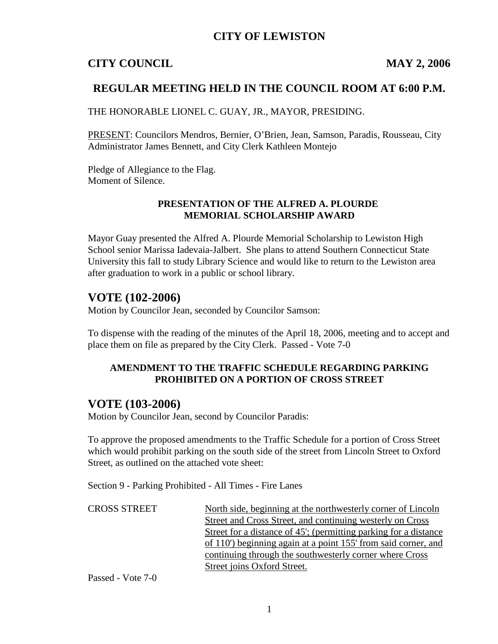## **CITY OF LEWISTON**

## **CITY COUNCIL MAY 2, 2006**

## **REGULAR MEETING HELD IN THE COUNCIL ROOM AT 6:00 P.M.**

THE HONORABLE LIONEL C. GUAY, JR., MAYOR, PRESIDING.

PRESENT: Councilors Mendros, Bernier, O'Brien, Jean, Samson, Paradis, Rousseau, City Administrator James Bennett, and City Clerk Kathleen Montejo

Pledge of Allegiance to the Flag. Moment of Silence.

#### **PRESENTATION OF THE ALFRED A. PLOURDE MEMORIAL SCHOLARSHIP AWARD**

Mayor Guay presented the Alfred A. Plourde Memorial Scholarship to Lewiston High School senior Marissa Iadevaia-Jalbert. She plans to attend Southern Connecticut State University this fall to study Library Science and would like to return to the Lewiston area after graduation to work in a public or school library.

## **VOTE (102-2006)**

Motion by Councilor Jean, seconded by Councilor Samson:

To dispense with the reading of the minutes of the April 18, 2006, meeting and to accept and place them on file as prepared by the City Clerk. Passed - Vote 7-0

#### **AMENDMENT TO THE TRAFFIC SCHEDULE REGARDING PARKING PROHIBITED ON A PORTION OF CROSS STREET**

## **VOTE (103-2006)**

Motion by Councilor Jean, second by Councilor Paradis:

To approve the proposed amendments to the Traffic Schedule for a portion of Cross Street which would prohibit parking on the south side of the street from Lincoln Street to Oxford Street, as outlined on the attached vote sheet:

Section 9 - Parking Prohibited - All Times - Fire Lanes

| <b>CROSS STREET</b> | North side, beginning at the northwesterly corner of Lincoln     |
|---------------------|------------------------------------------------------------------|
|                     | Street and Cross Street, and continuing westerly on Cross        |
|                     | Street for a distance of 45'; (permitting parking for a distance |
|                     | of 110') beginning again at a point 155' from said corner, and   |
|                     | continuing through the southwesterly corner where Cross          |
|                     | Street joins Oxford Street.                                      |

Passed - Vote 7-0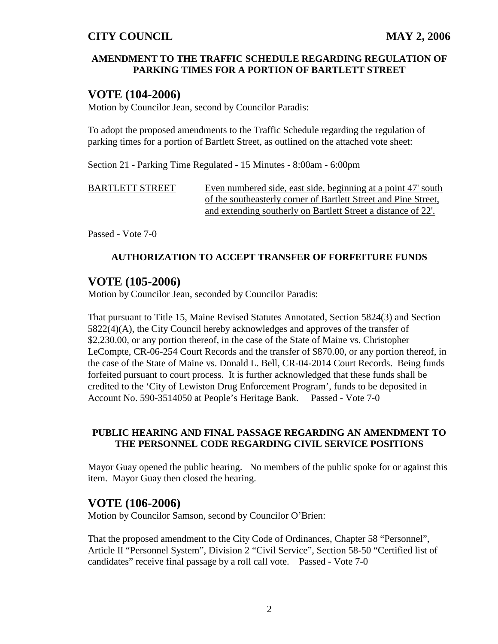#### **AMENDMENT TO THE TRAFFIC SCHEDULE REGARDING REGULATION OF PARKING TIMES FOR A PORTION OF BARTLETT STREET**

## **VOTE (104-2006)**

Motion by Councilor Jean, second by Councilor Paradis:

To adopt the proposed amendments to the Traffic Schedule regarding the regulation of parking times for a portion of Bartlett Street, as outlined on the attached vote sheet:

Section 21 - Parking Time Regulated - 15 Minutes - 8:00am - 6:00pm

BARTLETT STREET Even numbered side, east side, beginning at a point 47' south of the southeasterly corner of Bartlett Street and Pine Street, and extending southerly on Bartlett Street a distance of 22'.

Passed - Vote 7-0

#### **AUTHORIZATION TO ACCEPT TRANSFER OF FORFEITURE FUNDS**

## **VOTE (105-2006)**

Motion by Councilor Jean, seconded by Councilor Paradis:

That pursuant to Title 15, Maine Revised Statutes Annotated, Section 5824(3) and Section 5822(4)(A), the City Council hereby acknowledges and approves of the transfer of \$2,230.00, or any portion thereof, in the case of the State of Maine vs. Christopher LeCompte, CR-06-254 Court Records and the transfer of \$870.00, or any portion thereof, in the case of the State of Maine vs. Donald L. Bell, CR-04-2014 Court Records. Being funds forfeited pursuant to court process. It is further acknowledged that these funds shall be credited to the 'City of Lewiston Drug Enforcement Program', funds to be deposited in Account No. 590-3514050 at People's Heritage Bank. Passed - Vote 7-0

#### **PUBLIC HEARING AND FINAL PASSAGE REGARDING AN AMENDMENT TO THE PERSONNEL CODE REGARDING CIVIL SERVICE POSITIONS**

Mayor Guay opened the public hearing. No members of the public spoke for or against this item. Mayor Guay then closed the hearing.

## **VOTE (106-2006)**

Motion by Councilor Samson, second by Councilor O'Brien:

That the proposed amendment to the City Code of Ordinances, Chapter 58 "Personnel", Article II "Personnel System", Division 2 "Civil Service", Section 58-50 "Certified list of candidates" receive final passage by a roll call vote. Passed - Vote 7-0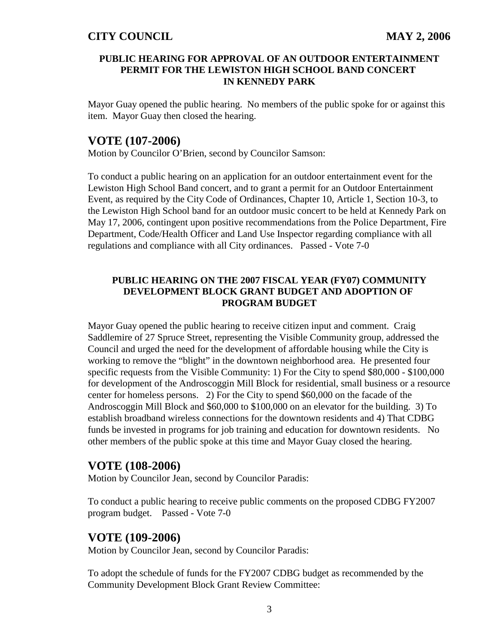#### **PUBLIC HEARING FOR APPROVAL OF AN OUTDOOR ENTERTAINMENT PERMIT FOR THE LEWISTON HIGH SCHOOL BAND CONCERT IN KENNEDY PARK**

Mayor Guay opened the public hearing. No members of the public spoke for or against this item. Mayor Guay then closed the hearing.

### **VOTE (107-2006)**

Motion by Councilor O'Brien, second by Councilor Samson:

To conduct a public hearing on an application for an outdoor entertainment event for the Lewiston High School Band concert, and to grant a permit for an Outdoor Entertainment Event, as required by the City Code of Ordinances, Chapter 10, Article 1, Section 10-3, to the Lewiston High School band for an outdoor music concert to be held at Kennedy Park on May 17, 2006, contingent upon positive recommendations from the Police Department, Fire Department, Code/Health Officer and Land Use Inspector regarding compliance with all regulations and compliance with all City ordinances. Passed - Vote 7-0

#### **PUBLIC HEARING ON THE 2007 FISCAL YEAR (FY07) COMMUNITY DEVELOPMENT BLOCK GRANT BUDGET AND ADOPTION OF PROGRAM BUDGET**

Mayor Guay opened the public hearing to receive citizen input and comment. Craig Saddlemire of 27 Spruce Street, representing the Visible Community group, addressed the Council and urged the need for the development of affordable housing while the City is working to remove the "blight" in the downtown neighborhood area. He presented four specific requests from the Visible Community: 1) For the City to spend \$80,000 - \$100,000 for development of the Androscoggin Mill Block for residential, small business or a resource center for homeless persons. 2) For the City to spend \$60,000 on the facade of the Androscoggin Mill Block and \$60,000 to \$100,000 on an elevator for the building. 3) To establish broadband wireless connections for the downtown residents and 4) That CDBG funds be invested in programs for job training and education for downtown residents. No other members of the public spoke at this time and Mayor Guay closed the hearing.

## **VOTE (108-2006)**

Motion by Councilor Jean, second by Councilor Paradis:

To conduct a public hearing to receive public comments on the proposed CDBG FY2007 program budget. Passed - Vote 7-0

#### **VOTE (109-2006)**

Motion by Councilor Jean, second by Councilor Paradis:

To adopt the schedule of funds for the FY2007 CDBG budget as recommended by the Community Development Block Grant Review Committee: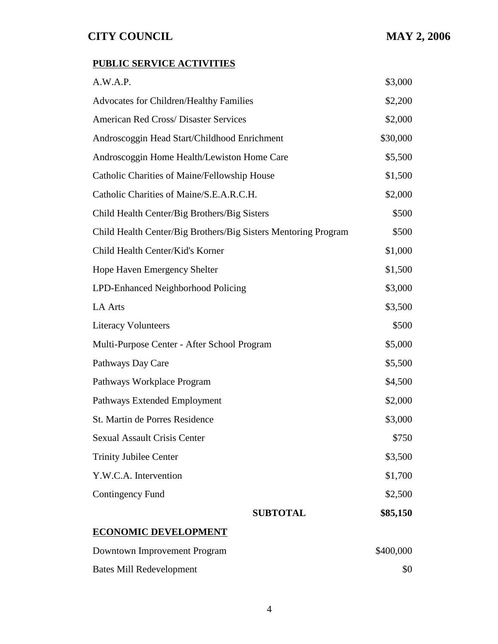## **PUBLIC SERVICE ACTIVITIES**

| A.W.A.P.                                                       | \$3,000   |
|----------------------------------------------------------------|-----------|
| <b>Advocates for Children/Healthy Families</b>                 | \$2,200   |
| <b>American Red Cross/ Disaster Services</b>                   | \$2,000   |
| Androscoggin Head Start/Childhood Enrichment                   | \$30,000  |
| Androscoggin Home Health/Lewiston Home Care                    | \$5,500   |
| Catholic Charities of Maine/Fellowship House                   | \$1,500   |
| Catholic Charities of Maine/S.E.A.R.C.H.                       | \$2,000   |
| Child Health Center/Big Brothers/Big Sisters                   | \$500     |
| Child Health Center/Big Brothers/Big Sisters Mentoring Program | \$500     |
| Child Health Center/Kid's Korner                               | \$1,000   |
| <b>Hope Haven Emergency Shelter</b>                            | \$1,500   |
| LPD-Enhanced Neighborhood Policing                             | \$3,000   |
| <b>LA Arts</b>                                                 | \$3,500   |
| <b>Literacy Volunteers</b>                                     | \$500     |
| Multi-Purpose Center - After School Program                    | \$5,000   |
| Pathways Day Care                                              | \$5,500   |
| Pathways Workplace Program                                     | \$4,500   |
| Pathways Extended Employment                                   | \$2,000   |
| St. Martin de Porres Residence                                 | \$3,000   |
| <b>Sexual Assault Crisis Center</b>                            | \$750     |
| <b>Trinity Jubilee Center</b>                                  | \$3,500   |
| Y.W.C.A. Intervention                                          | \$1,700   |
| Contingency Fund                                               | \$2,500   |
| <b>SUBTOTAL</b>                                                | \$85,150  |
| <b>ECONOMIC DEVELOPMENT</b>                                    |           |
| Downtown Improvement Program                                   | \$400,000 |
| <b>Bates Mill Redevelopment</b>                                | \$0       |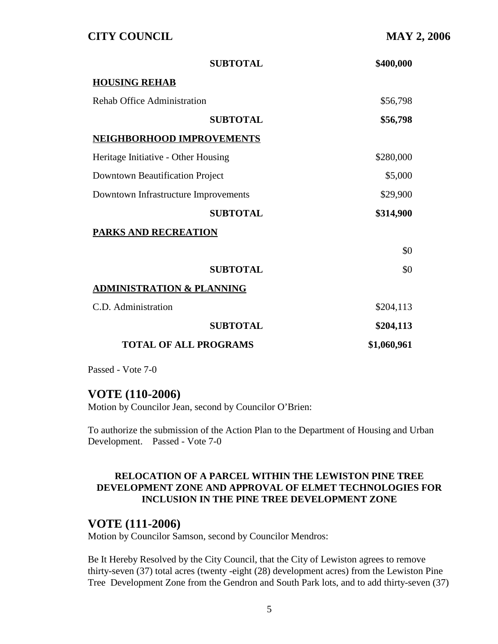| <b>SUBTOTAL</b>                        | \$400,000   |
|----------------------------------------|-------------|
| <b>HOUSING REHAB</b>                   |             |
| <b>Rehab Office Administration</b>     | \$56,798    |
| <b>SUBTOTAL</b>                        | \$56,798    |
| <b>NEIGHBORHOOD IMPROVEMENTS</b>       |             |
| Heritage Initiative - Other Housing    | \$280,000   |
| <b>Downtown Beautification Project</b> | \$5,000     |
| Downtown Infrastructure Improvements   | \$29,900    |
| <b>SUBTOTAL</b>                        | \$314,900   |
| <b>PARKS AND RECREATION</b>            |             |
|                                        | \$0         |
| <b>SUBTOTAL</b>                        | \$0         |
| <b>ADMINISTRATION &amp; PLANNING</b>   |             |
| C.D. Administration                    | \$204,113   |
| <b>SUBTOTAL</b>                        | \$204,113   |
| <b>TOTAL OF ALL PROGRAMS</b>           | \$1,060,961 |

Passed - Vote 7-0

#### **VOTE (110-2006)**

Motion by Councilor Jean, second by Councilor O'Brien:

To authorize the submission of the Action Plan to the Department of Housing and Urban Development. Passed - Vote 7-0

#### **RELOCATION OF A PARCEL WITHIN THE LEWISTON PINE TREE DEVELOPMENT ZONE AND APPROVAL OF ELMET TECHNOLOGIES FOR INCLUSION IN THE PINE TREE DEVELOPMENT ZONE**

#### **VOTE (111-2006)**

Motion by Councilor Samson, second by Councilor Mendros:

Be It Hereby Resolved by the City Council, that the City of Lewiston agrees to remove thirty-seven (37) total acres (twenty -eight (28) development acres) from the Lewiston Pine Tree Development Zone from the Gendron and South Park lots, and to add thirty-seven (37)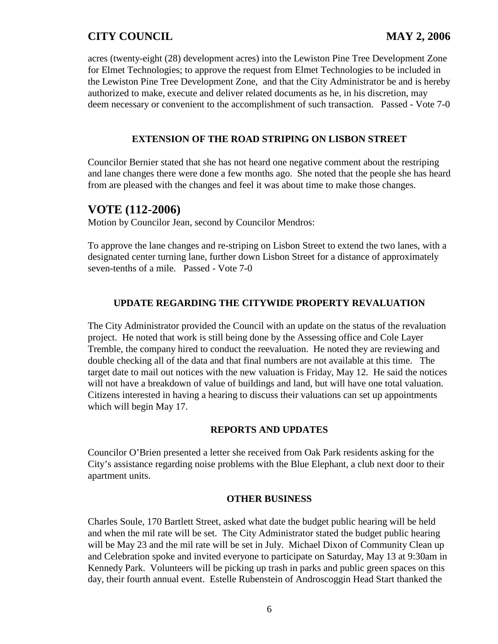acres (twenty-eight (28) development acres) into the Lewiston Pine Tree Development Zone for Elmet Technologies; to approve the request from Elmet Technologies to be included in the Lewiston Pine Tree Development Zone, and that the City Administrator be and is hereby authorized to make, execute and deliver related documents as he, in his discretion, may deem necessary or convenient to the accomplishment of such transaction. Passed - Vote 7-0

#### **EXTENSION OF THE ROAD STRIPING ON LISBON STREET**

Councilor Bernier stated that she has not heard one negative comment about the restriping and lane changes there were done a few months ago. She noted that the people she has heard from are pleased with the changes and feel it was about time to make those changes.

## **VOTE (112-2006)**

Motion by Councilor Jean, second by Councilor Mendros:

To approve the lane changes and re-striping on Lisbon Street to extend the two lanes, with a designated center turning lane, further down Lisbon Street for a distance of approximately seven-tenths of a mile. Passed - Vote 7-0

#### **UPDATE REGARDING THE CITYWIDE PROPERTY REVALUATION**

The City Administrator provided the Council with an update on the status of the revaluation project. He noted that work is still being done by the Assessing office and Cole Layer Tremble, the company hired to conduct the reevaluation. He noted they are reviewing and double checking all of the data and that final numbers are not available at this time. The target date to mail out notices with the new valuation is Friday, May 12. He said the notices will not have a breakdown of value of buildings and land, but will have one total valuation. Citizens interested in having a hearing to discuss their valuations can set up appointments which will begin May 17.

#### **REPORTS AND UPDATES**

Councilor O'Brien presented a letter she received from Oak Park residents asking for the City's assistance regarding noise problems with the Blue Elephant, a club next door to their apartment units.

#### **OTHER BUSINESS**

Charles Soule, 170 Bartlett Street, asked what date the budget public hearing will be held and when the mil rate will be set. The City Administrator stated the budget public hearing will be May 23 and the mil rate will be set in July. Michael Dixon of Community Clean up and Celebration spoke and invited everyone to participate on Saturday, May 13 at 9:30am in Kennedy Park. Volunteers will be picking up trash in parks and public green spaces on this day, their fourth annual event. Estelle Rubenstein of Androscoggin Head Start thanked the